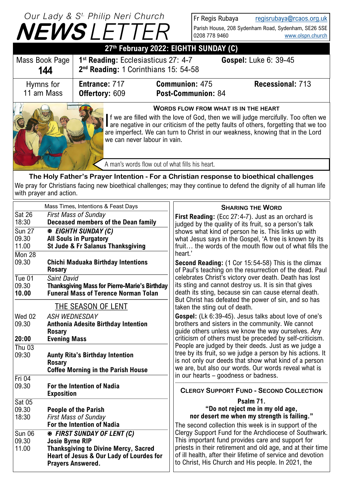## **NEWS** *LETTER Our Lady & S t. Philip Neri Church*

Fr Regis Rubaya [regisrubaya@rcaos.org.uk](mailto:regisrubaya@rcaos.org.uk) Parish House, 208 Sydenham Road, Sydenham, SE26 5SE 0208 778 9460 [www.olspn.church](http://www.olspn.church)

| 27th February 2022: EIGHTH SUNDAY (C)                                                                                                                                                                                                                                                                                                      |                                                                                                     |                                                 |                              |  |
|--------------------------------------------------------------------------------------------------------------------------------------------------------------------------------------------------------------------------------------------------------------------------------------------------------------------------------------------|-----------------------------------------------------------------------------------------------------|-------------------------------------------------|------------------------------|--|
| Mass Book Page<br>144                                                                                                                                                                                                                                                                                                                      | 1 <sup>st</sup> Reading: Ecclesiasticus 27: 4-7<br>2 <sup>nd</sup> Reading: 1 Corinthians 15: 54-58 |                                                 | <b>Gospel: Luke 6: 39-45</b> |  |
| Hymns for<br>11 am Mass                                                                                                                                                                                                                                                                                                                    | Entrance: 717<br><b>Offertory: 609</b>                                                              | <b>Communion: 475</b><br>Post-Communion: 84     | <b>Recessional: 713</b>      |  |
| <b>WORDS FLOW FROM WHAT IS IN THE HEART</b><br>If we are filled with the love of God, then we will judge mercifully. Too often we<br>are negative in our criticism of the petty faults of others, forgetting that we too<br>are imperfect. We can turn to Christ in our weakness, knowing that in the Lord<br>we can never labour in vain. |                                                                                                     |                                                 |                              |  |
|                                                                                                                                                                                                                                                                                                                                            |                                                                                                     | A man's words flow out of what fills his heart. |                              |  |

**The Holy Father's Prayer Intention - For a Christian response to bioethical challenges** We pray for Christians facing new bioethical challenges; may they continue to defend the dignity of all human life with prayer and action.

|                            | Mass Times, Intentions & Feast Days                        | <b>SHARING THE WORD</b>                                                                                                |
|----------------------------|------------------------------------------------------------|------------------------------------------------------------------------------------------------------------------------|
| $\overline{\text{Sat 26}}$ | <b>First Mass of Sunday</b>                                | First Reading: (Ecc 27:4-7). Just as an orchard is                                                                     |
| 18:30                      | Deceased members of the Dean family                        | judged by the quality of its fruit, so a person's talk                                                                 |
| <b>Sun 27</b>              | <b>EIGHTH SUNDAY (C)</b>                                   | shows what kind of person he is. This links up with                                                                    |
| 09.30                      | <b>All Souls in Purgatory</b>                              | what Jesus says in the Gospel, 'A tree is known by its                                                                 |
| 11.00                      | St Jude & Fr Salanus Thanksgiving                          | fruit the words of the mouth flow out of what fills the                                                                |
|                            |                                                            | heart.'                                                                                                                |
| Mon $28$                   |                                                            |                                                                                                                        |
| 09.30                      | <b>Chichi Maduaka Birthday Intentions</b><br><b>Rosary</b> | <b>Second Reading:</b> (1 Cor 15:54-58) This is the climax<br>of Paul's teaching on the resurrection of the dead. Paul |
| Tue $01$                   | <b>Saint David</b>                                         | celebrates Christ's victory over death. Death has lost                                                                 |
| 09.30                      | <b>Thanksgiving Mass for Pierre-Marie's Birthday</b>       | its sting and cannot destroy us. It is sin that gives                                                                  |
| 10.00                      | <b>Funeral Mass of Terence Norman Tolan</b>                | death its sting, because sin can cause eternal death.                                                                  |
|                            |                                                            | But Christ has defeated the power of sin, and so has                                                                   |
|                            | THE SEASON OF LENT                                         | taken the sting out of death.                                                                                          |
| Wed 02                     | <b>ASH WEDNESDAY</b>                                       | Gospel: (Lk 6:39-45). Jesus talks about love of one's                                                                  |
| 09.30                      | <b>Anthonia Adesite Birthday Intention</b>                 | brothers and sisters in the community. We cannot                                                                       |
|                            | <b>Rosary</b>                                              | guide others unless we know the way ourselves. Any                                                                     |
| 20:00                      | <b>Evening Mass</b>                                        | criticism of others must be preceded by self-criticism.                                                                |
| Thu $03$                   |                                                            | People are judged by their deeds. Just as we judge a                                                                   |
| 09:30                      | <b>Aunty Rita's Birthday Intention</b>                     | tree by its fruit, so we judge a person by his actions. It                                                             |
|                            | <b>Rosary</b>                                              | is not only our deeds that show what kind of a person                                                                  |
|                            | <b>Coffee Morning in the Parish House</b>                  | we are, but also our words. Our words reveal what is                                                                   |
|                            |                                                            | in our hearts – goodness or badness.                                                                                   |
| Fri 04                     |                                                            |                                                                                                                        |
| 09.30                      | <b>For the Intention of Nadia</b>                          | <b>CLERGY SUPPORT FUND - SECOND COLLECTION</b>                                                                         |
|                            | <b>Exposition</b>                                          |                                                                                                                        |
| Sat 05                     |                                                            | Psalm 71.                                                                                                              |
| 09.30                      | <b>People of the Parish</b>                                | "Do not reject me in my old age,                                                                                       |
| 18:30                      | <b>First Mass of Sunday</b>                                | nor desert me when my strength is failing."                                                                            |
|                            | For the Intention of Nadia                                 | The second collection this week is in support of the                                                                   |
| Sun 06                     | <b>EX FIRST SUNDAY OF LENT (C)</b>                         | Clergy Support Fund for the Archdiocese of Southwark.                                                                  |
| 09.30                      | <b>Josie Byrne RIP</b>                                     | This important fund provides care and support for                                                                      |
| 11.00                      | <b>Thanksgiving to Divine Mercy, Sacred</b>                | priests in their retirement and old age, and at their time                                                             |
|                            | Heart of Jesus & Our Lady of Lourdes for                   | of ill health, after their lifetime of service and devotion                                                            |
|                            | <b>Prayers Answered.</b>                                   | to Christ, His Church and His people. In 2021, the                                                                     |
|                            |                                                            |                                                                                                                        |